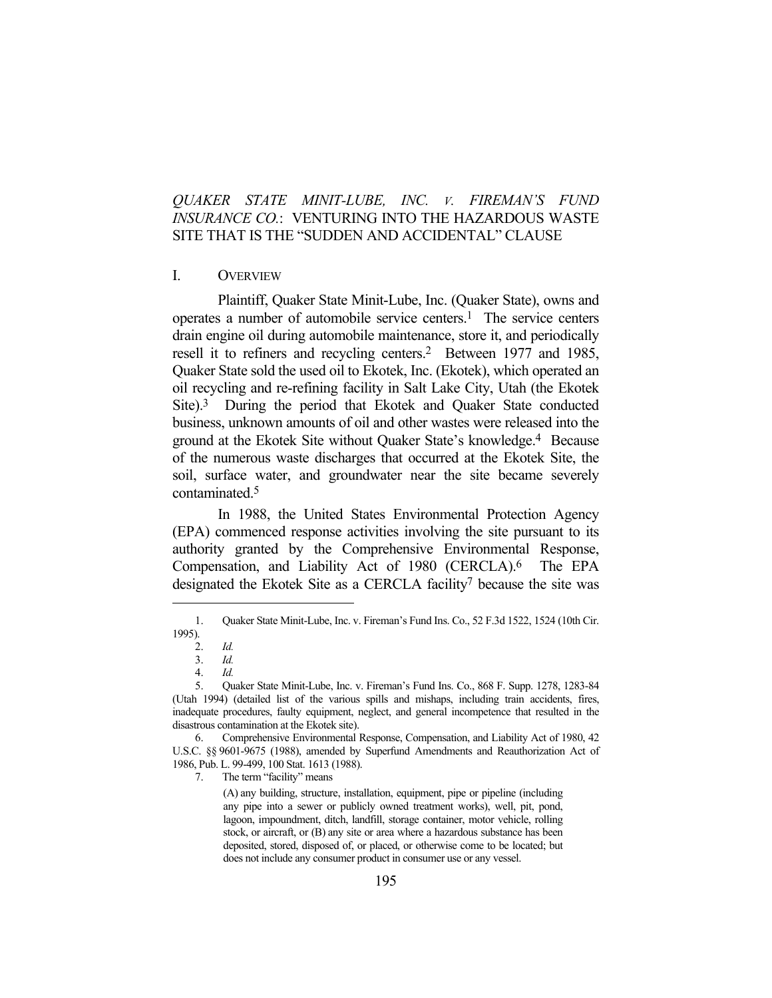# *QUAKER STATE MINIT-LUBE, INC. V. FIREMAN'S FUND INSURANCE CO.*: VENTURING INTO THE HAZARDOUS WASTE SITE THAT IS THE "SUDDEN AND ACCIDENTAL" CLAUSE

### I. OVERVIEW

 Plaintiff, Quaker State Minit-Lube, Inc. (Quaker State), owns and operates a number of automobile service centers.<sup>1</sup> The service centers drain engine oil during automobile maintenance, store it, and periodically resell it to refiners and recycling centers.2 Between 1977 and 1985, Quaker State sold the used oil to Ekotek, Inc. (Ekotek), which operated an oil recycling and re-refining facility in Salt Lake City, Utah (the Ekotek Site).3 During the period that Ekotek and Quaker State conducted business, unknown amounts of oil and other wastes were released into the ground at the Ekotek Site without Quaker State's knowledge.4 Because of the numerous waste discharges that occurred at the Ekotek Site, the soil, surface water, and groundwater near the site became severely contaminated.5

 In 1988, the United States Environmental Protection Agency (EPA) commenced response activities involving the site pursuant to its authority granted by the Comprehensive Environmental Response, Compensation, and Liability Act of 1980 (CERCLA).6 The EPA designated the Ekotek Site as a CERCLA facility<sup>7</sup> because the site was

(A) any building, structure, installation, equipment, pipe or pipeline (including any pipe into a sewer or publicly owned treatment works), well, pit, pond, lagoon, impoundment, ditch, landfill, storage container, motor vehicle, rolling stock, or aircraft, or (B) any site or area where a hazardous substance has been deposited, stored, disposed of, or placed, or otherwise come to be located; but does not include any consumer product in consumer use or any vessel.

 <sup>1.</sup> Quaker State Minit-Lube, Inc. v. Fireman's Fund Ins. Co., 52 F.3d 1522, 1524 (10th Cir. 1995).

 <sup>2.</sup> *Id.*

 <sup>3.</sup> *Id.*

 <sup>4.</sup> *Id.*

 <sup>5.</sup> Quaker State Minit-Lube, Inc. v. Fireman's Fund Ins. Co., 868 F. Supp. 1278, 1283-84 (Utah 1994) (detailed list of the various spills and mishaps, including train accidents, fires, inadequate procedures, faulty equipment, neglect, and general incompetence that resulted in the disastrous contamination at the Ekotek site).

 <sup>6.</sup> Comprehensive Environmental Response, Compensation, and Liability Act of 1980, 42 U.S.C. §§ 9601-9675 (1988), amended by Superfund Amendments and Reauthorization Act of 1986, Pub. L. 99-499, 100 Stat. 1613 (1988).

 <sup>7.</sup> The term "facility" means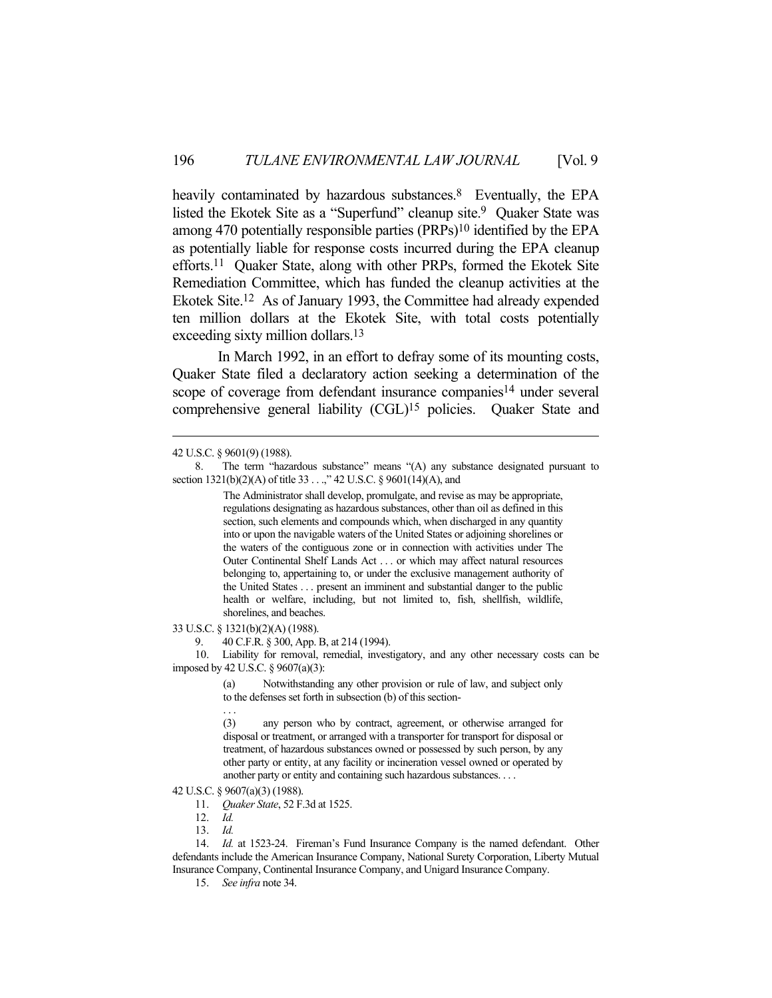heavily contaminated by hazardous substances.<sup>8</sup> Eventually, the EPA listed the Ekotek Site as a "Superfund" cleanup site.<sup>9</sup> Quaker State was among 470 potentially responsible parties  $(PRPs)^{10}$  identified by the EPA as potentially liable for response costs incurred during the EPA cleanup efforts.11 Quaker State, along with other PRPs, formed the Ekotek Site Remediation Committee, which has funded the cleanup activities at the Ekotek Site.12 As of January 1993, the Committee had already expended ten million dollars at the Ekotek Site, with total costs potentially exceeding sixty million dollars.<sup>13</sup>

 In March 1992, in an effort to defray some of its mounting costs, Quaker State filed a declaratory action seeking a determination of the scope of coverage from defendant insurance companies<sup>14</sup> under several comprehensive general liability (CGL)15 policies. Quaker State and

The Administrator shall develop, promulgate, and revise as may be appropriate, regulations designating as hazardous substances, other than oil as defined in this section, such elements and compounds which, when discharged in any quantity into or upon the navigable waters of the United States or adjoining shorelines or the waters of the contiguous zone or in connection with activities under The Outer Continental Shelf Lands Act . . . or which may affect natural resources belonging to, appertaining to, or under the exclusive management authority of the United States . . . present an imminent and substantial danger to the public health or welfare, including, but not limited to, fish, shellfish, wildlife, shorelines, and beaches.

33 U.S.C. § 1321(b)(2)(A) (1988).

9. 40 C.F.R. § 300, App. B, at 214 (1994).

 10. Liability for removal, remedial, investigatory, and any other necessary costs can be imposed by 42 U.S.C. § 9607(a)(3):

> (a) Notwithstanding any other provision or rule of law, and subject only to the defenses set forth in subsection (b) of this section-

. . .

(3) any person who by contract, agreement, or otherwise arranged for disposal or treatment, or arranged with a transporter for transport for disposal or treatment, of hazardous substances owned or possessed by such person, by any other party or entity, at any facility or incineration vessel owned or operated by another party or entity and containing such hazardous substances. . . .

42 U.S.C. § 9607(a)(3) (1988).

11. *Quaker State*, 52 F.3d at 1525.

12. *Id.*

13. *Id.*

 14. *Id.* at 1523-24. Fireman's Fund Insurance Company is the named defendant. Other defendants include the American Insurance Company, National Surety Corporation, Liberty Mutual Insurance Company, Continental Insurance Company, and Unigard Insurance Company.

15. *See infra* note 34.

<sup>42</sup> U.S.C. § 9601(9) (1988).

 <sup>8.</sup> The term "hazardous substance" means "(A) any substance designated pursuant to section 1321(b)(2)(A) of title 33 . . .," 42 U.S.C. § 9601(14)(A), and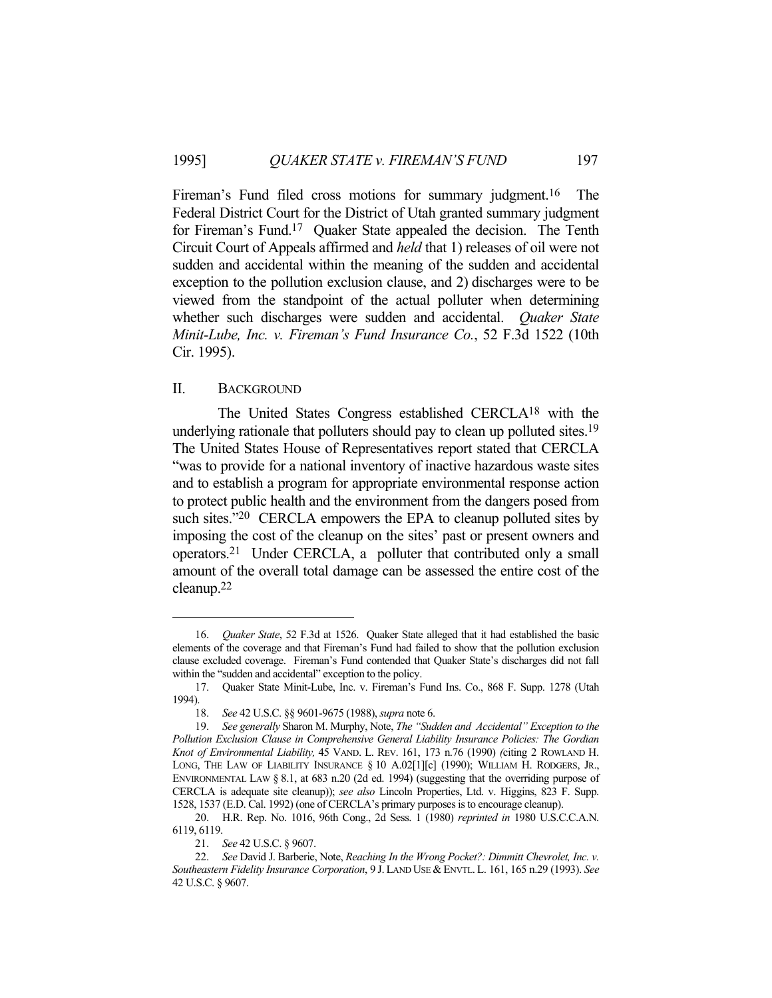Fireman's Fund filed cross motions for summary judgment.<sup>16</sup> The Federal District Court for the District of Utah granted summary judgment for Fireman's Fund.17 Quaker State appealed the decision. The Tenth Circuit Court of Appeals affirmed and *held* that 1) releases of oil were not sudden and accidental within the meaning of the sudden and accidental exception to the pollution exclusion clause, and 2) discharges were to be viewed from the standpoint of the actual polluter when determining whether such discharges were sudden and accidental. *Quaker State Minit-Lube, Inc. v. Fireman's Fund Insurance Co.*, 52 F.3d 1522 (10th Cir. 1995).

### II. BACKGROUND

 The United States Congress established CERCLA18 with the underlying rationale that polluters should pay to clean up polluted sites.<sup>19</sup> The United States House of Representatives report stated that CERCLA "was to provide for a national inventory of inactive hazardous waste sites and to establish a program for appropriate environmental response action to protect public health and the environment from the dangers posed from such sites."<sup>20</sup> CERCLA empowers the EPA to cleanup polluted sites by imposing the cost of the cleanup on the sites' past or present owners and operators.21 Under CERCLA, a polluter that contributed only a small amount of the overall total damage can be assessed the entire cost of the cleanup.22

 <sup>16.</sup> *Quaker State*, 52 F.3d at 1526. Quaker State alleged that it had established the basic elements of the coverage and that Fireman's Fund had failed to show that the pollution exclusion clause excluded coverage. Fireman's Fund contended that Quaker State's discharges did not fall within the "sudden and accidental" exception to the policy.

 <sup>17.</sup> Quaker State Minit-Lube, Inc. v. Fireman's Fund Ins. Co., 868 F. Supp. 1278 (Utah 1994).

 <sup>18.</sup> *See* 42 U.S.C. §§ 9601-9675 (1988), *supra* note 6.

 <sup>19.</sup> *See generally* Sharon M. Murphy, Note, *The "Sudden and Accidental" Exception to the Pollution Exclusion Clause in Comprehensive General Liability Insurance Policies: The Gordian Knot of Environmental Liability,* 45 VAND. L. REV. 161, 173 n.76 (1990) *(*citing 2 ROWLAND H. LONG, THE LAW OF LIABILITY INSURANCE § 10 A.02[1][c] (1990); WILLIAM H. RODGERS, JR., ENVIRONMENTAL LAW § 8.1, at 683 n.20 (2d ed. 1994) (suggesting that the overriding purpose of CERCLA is adequate site cleanup)); *see also* Lincoln Properties, Ltd. v. Higgins, 823 F. Supp. 1528, 1537 (E.D. Cal. 1992) (one of CERCLA's primary purposes is to encourage cleanup).

 <sup>20.</sup> H.R. Rep. No. 1016, 96th Cong., 2d Sess. 1 (1980) *reprinted in* 1980 U.S.C.C.A.N. 6119, 6119.

 <sup>21.</sup> *See* 42 U.S.C. § 9607.

 <sup>22.</sup> *See* David J. Barberie, Note, *Reaching In the Wrong Pocket?: Dimmitt Chevrolet, Inc. v. Southeastern Fidelity Insurance Corporation*, 9 J. LAND USE & ENVTL. L. 161, 165 n.29 (1993). *See*  42 U.S.C. § 9607.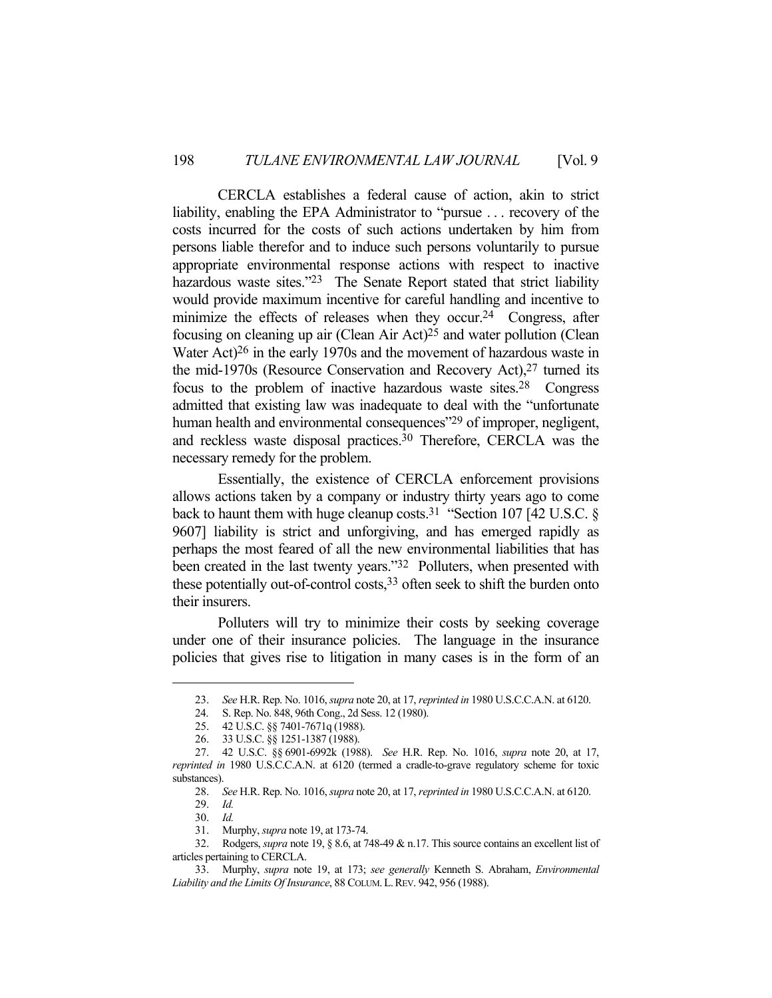CERCLA establishes a federal cause of action, akin to strict liability, enabling the EPA Administrator to "pursue . . . recovery of the costs incurred for the costs of such actions undertaken by him from persons liable therefor and to induce such persons voluntarily to pursue appropriate environmental response actions with respect to inactive hazardous waste sites."<sup>23</sup> The Senate Report stated that strict liability would provide maximum incentive for careful handling and incentive to minimize the effects of releases when they occur.<sup>24</sup> Congress, after focusing on cleaning up air (Clean Air Act)25 and water pollution (Clean Water Act)26 in the early 1970s and the movement of hazardous waste in the mid-1970s (Resource Conservation and Recovery Act),27 turned its focus to the problem of inactive hazardous waste sites.28 Congress admitted that existing law was inadequate to deal with the "unfortunate human health and environmental consequences<sup>"29</sup> of improper, negligent, and reckless waste disposal practices.30 Therefore, CERCLA was the necessary remedy for the problem.

 Essentially, the existence of CERCLA enforcement provisions allows actions taken by a company or industry thirty years ago to come back to haunt them with huge cleanup costs.<sup>31</sup> "Section 107 [42 U.S.C.  $\delta$ 9607] liability is strict and unforgiving, and has emerged rapidly as perhaps the most feared of all the new environmental liabilities that has been created in the last twenty years."<sup>32</sup> Polluters, when presented with these potentially out-of-control costs,33 often seek to shift the burden onto their insurers.

 Polluters will try to minimize their costs by seeking coverage under one of their insurance policies. The language in the insurance policies that gives rise to litigation in many cases is in the form of an

 <sup>23.</sup> *See* H.R. Rep. No. 1016, *supra* note 20, at 17, *reprinted in* 1980 U.S.C.C.A.N. at 6120.

 <sup>24.</sup> S. Rep. No. 848, 96th Cong., 2d Sess. 12 (1980).

 <sup>25. 42</sup> U.S.C. §§ 7401-7671q (1988).

 <sup>26. 33</sup> U.S.C. §§ 1251-1387 (1988).

 <sup>27. 42</sup> U.S.C. §§ 6901-6992k (1988). *See* H.R. Rep. No. 1016, *supra* note 20, at 17, *reprinted in* 1980 U.S.C.C.A.N. at 6120 (termed a cradle-to-grave regulatory scheme for toxic substances).

 <sup>28.</sup> *See* H.R. Rep. No. 1016, *supra* note 20, at 17, *reprinted in* 1980 U.S.C.C.A.N. at 6120. 29. *Id.*

 <sup>30.</sup> *Id.*

 <sup>31.</sup> Murphy, *supra* note 19, at 173-74.

 <sup>32.</sup> Rodgers, *supra* note 19, § 8.6, at 748-49 & n.17. This source contains an excellent list of articles pertaining to CERCLA.

 <sup>33.</sup> Murphy, *supra* note 19, at 173; *see generally* Kenneth S. Abraham, *Environmental Liability and the Limits Of Insurance*, 88 COLUM.L.REV. 942, 956 (1988).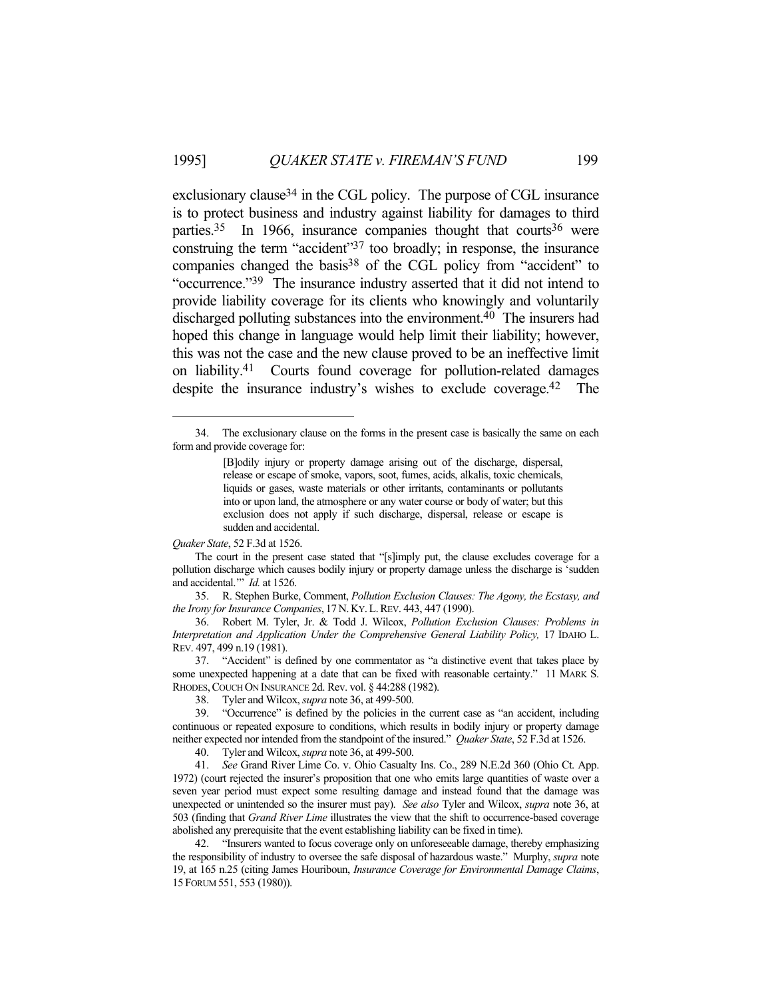exclusionary clause<sup>34</sup> in the CGL policy. The purpose of CGL insurance is to protect business and industry against liability for damages to third parties.<sup>35</sup> In 1966, insurance companies thought that courts<sup>36</sup> were construing the term "accident"37 too broadly; in response, the insurance companies changed the basis<sup>38</sup> of the CGL policy from "accident" to "occurrence."39 The insurance industry asserted that it did not intend to provide liability coverage for its clients who knowingly and voluntarily discharged polluting substances into the environment.40 The insurers had hoped this change in language would help limit their liability; however, this was not the case and the new clause proved to be an ineffective limit on liability.41 Courts found coverage for pollution-related damages despite the insurance industry's wishes to exclude coverage.42 The

*Quaker State*, 52 F.3d at 1526.

 The court in the present case stated that "[s]imply put, the clause excludes coverage for a pollution discharge which causes bodily injury or property damage unless the discharge is 'sudden and accidental.'" *Id.* at 1526.

 35. R. Stephen Burke, Comment, *Pollution Exclusion Clauses: The Agony, the Ecstasy, and the Irony for Insurance Companies*, 17N.KY.L.REV. 443, 447 (1990).

 36. Robert M. Tyler, Jr. & Todd J. Wilcox, *Pollution Exclusion Clauses: Problems in Interpretation and Application Under the Comprehensive General Liability Policy,* 17 IDAHO L. REV. 497, 499 n.19 (1981).

 37. "Accident" is defined by one commentator as "a distinctive event that takes place by some unexpected happening at a date that can be fixed with reasonable certainty." 11 MARK S. RHODES, COUCH ON INSURANCE 2d. Rev. vol. § 44:288 (1982).

38. Tyler and Wilcox, *supra* note 36, at 499-500.

40. Tyler and Wilcox, *supra* note 36, at 499-500.

 41. *See* Grand River Lime Co. v. Ohio Casualty Ins. Co., 289 N.E.2d 360 (Ohio Ct. App. 1972) (court rejected the insurer's proposition that one who emits large quantities of waste over a seven year period must expect some resulting damage and instead found that the damage was unexpected or unintended so the insurer must pay). *See also* Tyler and Wilcox, *supra* note 36, at 503 (finding that *Grand River Lime* illustrates the view that the shift to occurrence-based coverage abolished any prerequisite that the event establishing liability can be fixed in time).

 42. "Insurers wanted to focus coverage only on unforeseeable damage, thereby emphasizing the responsibility of industry to oversee the safe disposal of hazardous waste." Murphy, *supra* note 19, at 165 n.25 (citing James Houriboun, *Insurance Coverage for Environmental Damage Claims*, 15 FORUM 551, 553 (1980)).

 <sup>34.</sup> The exclusionary clause on the forms in the present case is basically the same on each form and provide coverage for:

<sup>[</sup>B]odily injury or property damage arising out of the discharge, dispersal, release or escape of smoke, vapors, soot, fumes, acids, alkalis, toxic chemicals, liquids or gases, waste materials or other irritants, contaminants or pollutants into or upon land, the atmosphere or any water course or body of water; but this exclusion does not apply if such discharge, dispersal, release or escape is sudden and accidental.

 <sup>39. &</sup>quot;Occurrence" is defined by the policies in the current case as "an accident, including continuous or repeated exposure to conditions, which results in bodily injury or property damage neither expected nor intended from the standpoint of the insured." *Quaker State*, 52 F.3d at 1526.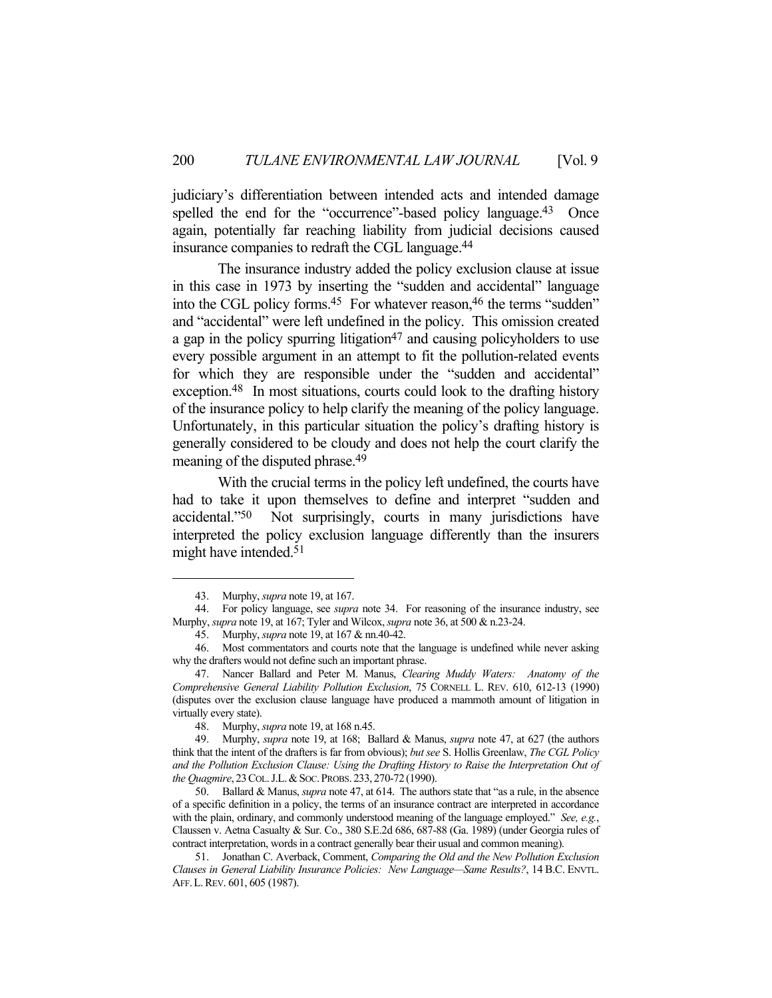judiciary's differentiation between intended acts and intended damage spelled the end for the "occurrence"-based policy language.<sup>43</sup> Once again, potentially far reaching liability from judicial decisions caused insurance companies to redraft the CGL language.44

 The insurance industry added the policy exclusion clause at issue in this case in 1973 by inserting the "sudden and accidental" language into the CGL policy forms.<sup>45</sup> For whatever reason,<sup>46</sup> the terms "sudden" and "accidental" were left undefined in the policy. This omission created a gap in the policy spurring litigation<sup>47</sup> and causing policyholders to use every possible argument in an attempt to fit the pollution-related events for which they are responsible under the "sudden and accidental" exception.48 In most situations, courts could look to the drafting history of the insurance policy to help clarify the meaning of the policy language. Unfortunately, in this particular situation the policy's drafting history is generally considered to be cloudy and does not help the court clarify the meaning of the disputed phrase.49

 With the crucial terms in the policy left undefined, the courts have had to take it upon themselves to define and interpret "sudden and accidental."50 Not surprisingly, courts in many jurisdictions have interpreted the policy exclusion language differently than the insurers might have intended.<sup>51</sup>

 <sup>43.</sup> Murphy, *supra* note 19, at 167.

 <sup>44.</sup> For policy language, see *supra* note 34. For reasoning of the insurance industry, see Murphy, *supra* note 19, at 167; Tyler and Wilcox, *supra* note 36, at 500 & n.23-24.

 <sup>45.</sup> Murphy, *supra* note 19, at 167 & nn.40-42.

 <sup>46.</sup> Most commentators and courts note that the language is undefined while never asking why the drafters would not define such an important phrase.

 <sup>47.</sup> Nancer Ballard and Peter M. Manus, *Clearing Muddy Waters: Anatomy of the Comprehensive General Liability Pollution Exclusion*, 75 CORNELL L. REV. 610, 612-13 (1990) (disputes over the exclusion clause language have produced a mammoth amount of litigation in virtually every state).

 <sup>48.</sup> Murphy, *supra* note 19, at 168 n.45.

 <sup>49.</sup> Murphy, *supra* note 19, at 168; Ballard & Manus, *supra* note 47, at 627 (the authors think that the intent of the drafters is far from obvious); *but see* S. Hollis Greenlaw, *The CGL Policy and the Pollution Exclusion Clause: Using the Drafting History to Raise the Interpretation Out of the Ouagmire*, 23 COL. J.L. & SOC. PROBS. 233, 270-72 (1990).

 <sup>50.</sup> Ballard & Manus, *supra* note 47, at 614. The authors state that "as a rule, in the absence of a specific definition in a policy, the terms of an insurance contract are interpreted in accordance with the plain, ordinary, and commonly understood meaning of the language employed." *See, e.g.*, Claussen v. Aetna Casualty & Sur. Co., 380 S.E.2d 686, 687-88 (Ga. 1989) (under Georgia rules of contract interpretation, words in a contract generally bear their usual and common meaning).

 <sup>51.</sup> Jonathan C. Averback, Comment, *Comparing the Old and the New Pollution Exclusion Clauses in General Liability Insurance Policies: New Language—Same Results?*, 14 B.C. ENVTL. AFF.L.REV. 601, 605 (1987).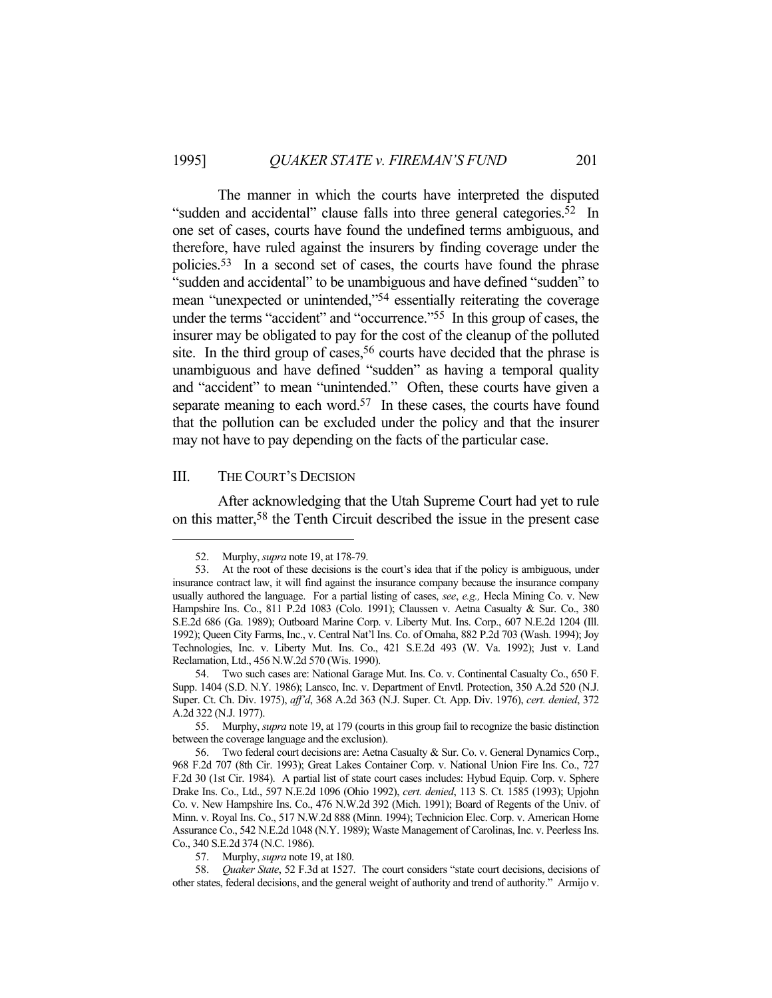The manner in which the courts have interpreted the disputed "sudden and accidental" clause falls into three general categories.<sup>52</sup> In one set of cases, courts have found the undefined terms ambiguous, and therefore, have ruled against the insurers by finding coverage under the policies.53 In a second set of cases, the courts have found the phrase "sudden and accidental" to be unambiguous and have defined "sudden" to mean "unexpected or unintended,"<sup>54</sup> essentially reiterating the coverage under the terms "accident" and "occurrence."55 In this group of cases, the insurer may be obligated to pay for the cost of the cleanup of the polluted site. In the third group of cases,<sup>56</sup> courts have decided that the phrase is unambiguous and have defined "sudden" as having a temporal quality and "accident" to mean "unintended." Often, these courts have given a separate meaning to each word.<sup>57</sup> In these cases, the courts have found that the pollution can be excluded under the policy and that the insurer may not have to pay depending on the facts of the particular case.

#### III. THE COURT'S DECISION

 After acknowledging that the Utah Supreme Court had yet to rule on this matter,58 the Tenth Circuit described the issue in the present case

 <sup>52.</sup> Murphy, *supra* note 19, at 178-79.

 <sup>53.</sup> At the root of these decisions is the court's idea that if the policy is ambiguous, under insurance contract law, it will find against the insurance company because the insurance company usually authored the language. For a partial listing of cases, *see*, *e.g.,* Hecla Mining Co. v. New Hampshire Ins. Co., 811 P.2d 1083 (Colo. 1991); Claussen v. Aetna Casualty & Sur. Co., 380 S.E.2d 686 (Ga. 1989); Outboard Marine Corp. v. Liberty Mut. Ins. Corp., 607 N.E.2d 1204 (Ill. 1992); Queen City Farms, Inc., v. Central Nat'l Ins. Co. of Omaha, 882 P.2d 703 (Wash. 1994); Joy Technologies, Inc. v. Liberty Mut. Ins. Co., 421 S.E.2d 493 (W. Va. 1992); Just v. Land Reclamation, Ltd., 456 N.W.2d 570 (Wis. 1990).

 <sup>54.</sup> Two such cases are: National Garage Mut. Ins. Co. v. Continental Casualty Co., 650 F. Supp. 1404 (S.D. N.Y. 1986); Lansco, Inc. v. Department of Envtl. Protection, 350 A.2d 520 (N.J. Super. Ct. Ch. Div. 1975), *aff'd*, 368 A.2d 363 (N.J. Super. Ct. App. Div. 1976), *cert. denied*, 372 A.2d 322 (N.J. 1977).

 <sup>55.</sup> Murphy, *supra* note 19, at 179 (courts in this group fail to recognize the basic distinction between the coverage language and the exclusion).

 <sup>56.</sup> Two federal court decisions are: Aetna Casualty & Sur. Co. v. General Dynamics Corp., 968 F.2d 707 (8th Cir. 1993); Great Lakes Container Corp. v. National Union Fire Ins. Co., 727 F.2d 30 (1st Cir. 1984). A partial list of state court cases includes: Hybud Equip. Corp. v. Sphere Drake Ins. Co., Ltd., 597 N.E.2d 1096 (Ohio 1992), *cert. denied*, 113 S. Ct. 1585 (1993); Upjohn Co. v. New Hampshire Ins. Co., 476 N.W.2d 392 (Mich. 1991); Board of Regents of the Univ. of Minn. v. Royal Ins. Co., 517 N.W.2d 888 (Minn. 1994); Technicion Elec. Corp. v. American Home Assurance Co., 542 N.E.2d 1048 (N.Y. 1989); Waste Management of Carolinas, Inc. v. Peerless Ins. Co., 340 S.E.2d 374 (N.C. 1986).

 <sup>57.</sup> Murphy, *supra* note 19, at 180.

 <sup>58.</sup> *Quaker State*, 52 F.3d at 1527. The court considers "state court decisions, decisions of other states, federal decisions, and the general weight of authority and trend of authority." Armijo v.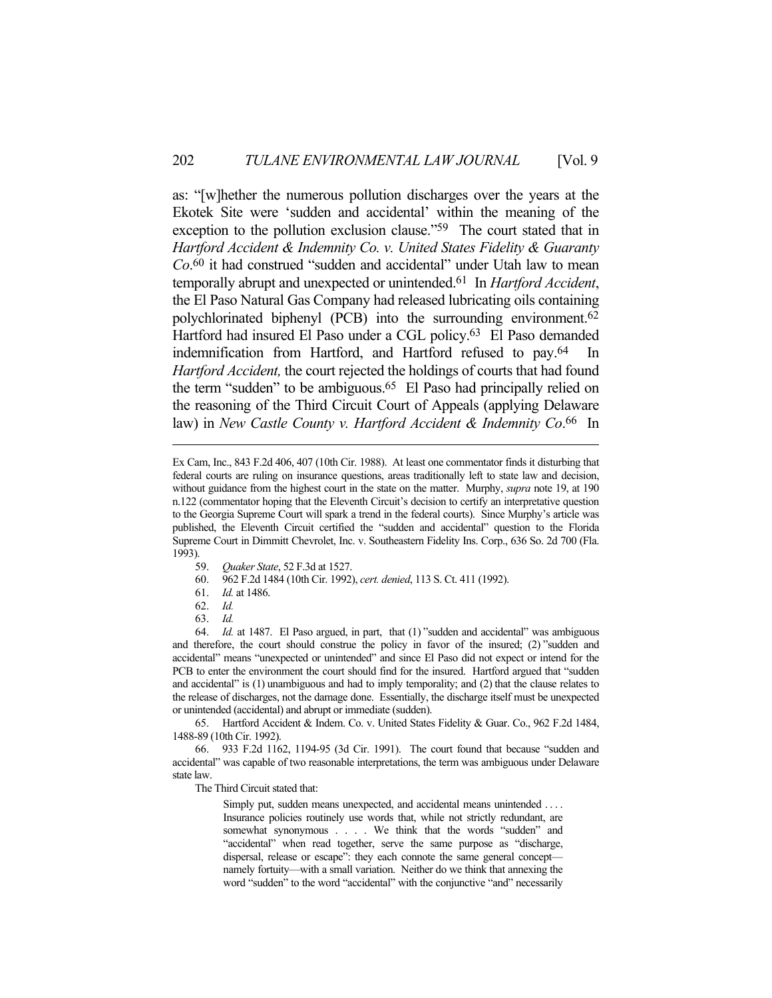as: "[w]hether the numerous pollution discharges over the years at the Ekotek Site were 'sudden and accidental' within the meaning of the exception to the pollution exclusion clause."<sup>59</sup> The court stated that in *Hartford Accident & Indemnity Co. v. United States Fidelity & Guaranty Co*. 60 it had construed "sudden and accidental" under Utah law to mean temporally abrupt and unexpected or unintended.61 In *Hartford Accident*, the El Paso Natural Gas Company had released lubricating oils containing polychlorinated biphenyl (PCB) into the surrounding environment. 62 Hartford had insured El Paso under a CGL policy.<sup>63</sup> El Paso demanded indemnification from Hartford, and Hartford refused to pay.<sup>64</sup> In *Hartford Accident,* the court rejected the holdings of courts that had found the term "sudden" to be ambiguous.65 El Paso had principally relied on the reasoning of the Third Circuit Court of Appeals (applying Delaware law) in *New Castle County v. Hartford Accident & Indemnity Co*. 66 In

- 59. *Quaker State*, 52 F.3d at 1527.
- 60. 962 F.2d 1484 (10th Cir. 1992), *cert. denied*, 113 S. Ct. 411 (1992).
- 61. *Id.* at 1486.
- 62. *Id.*
- 63. *Id.*

 65. Hartford Accident & Indem. Co. v. United States Fidelity & Guar. Co., 962 F.2d 1484, 1488-89 (10th Cir. 1992).

 66. 933 F.2d 1162, 1194-95 (3d Cir. 1991). The court found that because "sudden and accidental" was capable of two reasonable interpretations, the term was ambiguous under Delaware state law.

The Third Circuit stated that:

Simply put, sudden means unexpected, and accidental means unintended .... Insurance policies routinely use words that, while not strictly redundant, are somewhat synonymous . . . . We think that the words "sudden" and "accidental" when read together, serve the same purpose as "discharge, dispersal, release or escape": they each connote the same general concept namely fortuity—with a small variation. Neither do we think that annexing the word "sudden" to the word "accidental" with the conjunctive "and" necessarily

Ex Cam, Inc., 843 F.2d 406, 407 (10th Cir. 1988). At least one commentator finds it disturbing that federal courts are ruling on insurance questions, areas traditionally left to state law and decision, without guidance from the highest court in the state on the matter. Murphy, *supra* note 19, at 190 n.122 (commentator hoping that the Eleventh Circuit's decision to certify an interpretative question to the Georgia Supreme Court will spark a trend in the federal courts). Since Murphy's article was published, the Eleventh Circuit certified the "sudden and accidental" question to the Florida Supreme Court in Dimmitt Chevrolet, Inc. v. Southeastern Fidelity Ins. Corp., 636 So. 2d 700 (Fla. 1993).

 <sup>64.</sup> *Id.* at 1487. El Paso argued, in part, that (1) "sudden and accidental" was ambiguous and therefore, the court should construe the policy in favor of the insured; (2) "sudden and accidental" means "unexpected or unintended" and since El Paso did not expect or intend for the PCB to enter the environment the court should find for the insured. Hartford argued that "sudden and accidental" is (1) unambiguous and had to imply temporality; and (2) that the clause relates to the release of discharges, not the damage done. Essentially, the discharge itself must be unexpected or unintended (accidental) and abrupt or immediate (sudden).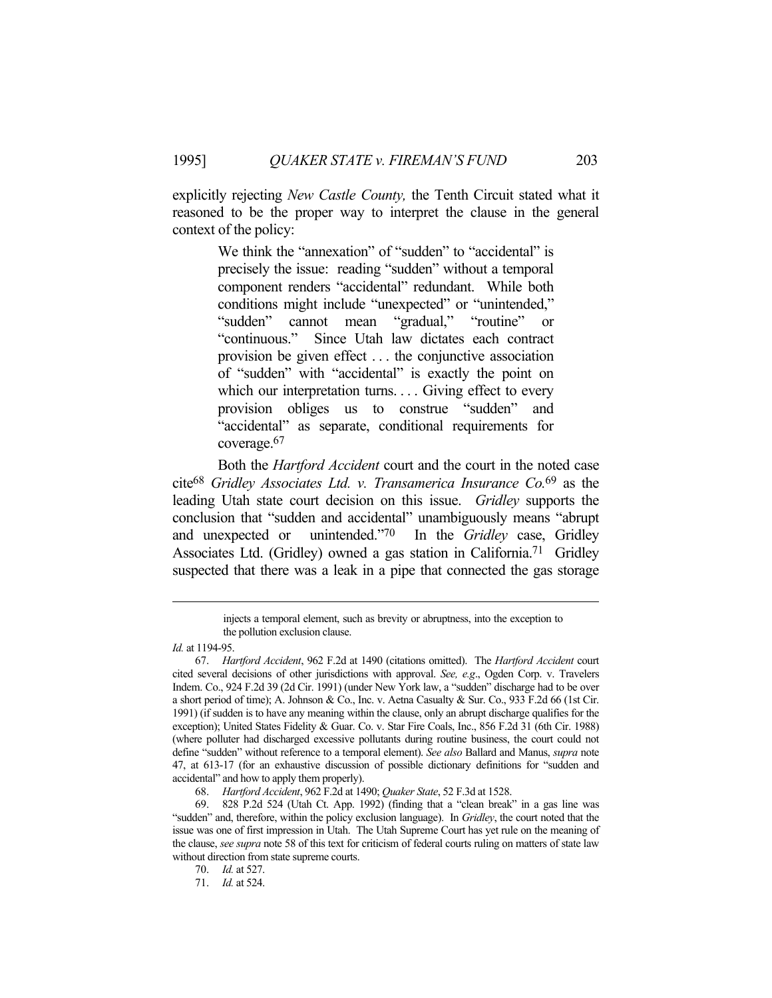explicitly rejecting *New Castle County,* the Tenth Circuit stated what it reasoned to be the proper way to interpret the clause in the general context of the policy:

> We think the "annexation" of "sudden" to "accidental" is precisely the issue: reading "sudden" without a temporal component renders "accidental" redundant. While both conditions might include "unexpected" or "unintended," "sudden" cannot mean "gradual," "routine" or "continuous." Since Utah law dictates each contract provision be given effect . . . the conjunctive association of "sudden" with "accidental" is exactly the point on which our interpretation turns. . . . Giving effect to every provision obliges us to construe "sudden" and "accidental" as separate, conditional requirements for coverage.67

 Both the *Hartford Accident* court and the court in the noted case cite68 *Gridley Associates Ltd. v. Transamerica Insurance Co.*69 as the leading Utah state court decision on this issue. *Gridley* supports the conclusion that "sudden and accidental" unambiguously means "abrupt and unexpected or unintended."70 In the *Gridley* case, Gridley Associates Ltd. (Gridley) owned a gas station in California.71 Gridley suspected that there was a leak in a pipe that connected the gas storage

injects a temporal element, such as brevity or abruptness, into the exception to the pollution exclusion clause.

*Id.* at 1194-95.

 <sup>67.</sup> *Hartford Accident*, 962 F.2d at 1490 (citations omitted). The *Hartford Accident* court cited several decisions of other jurisdictions with approval. *See, e.g*., Ogden Corp. v. Travelers Indem. Co., 924 F.2d 39 (2d Cir. 1991) (under New York law, a "sudden" discharge had to be over a short period of time); A. Johnson & Co., Inc. v. Aetna Casualty & Sur. Co., 933 F.2d 66 (1st Cir. 1991) (if sudden is to have any meaning within the clause, only an abrupt discharge qualifies for the exception); United States Fidelity & Guar. Co. v. Star Fire Coals, Inc., 856 F.2d 31 (6th Cir. 1988) (where polluter had discharged excessive pollutants during routine business, the court could not define "sudden" without reference to a temporal element). *See also* Ballard and Manus, *supra* note 47, at 613-17 (for an exhaustive discussion of possible dictionary definitions for "sudden and accidental" and how to apply them properly).

 <sup>68.</sup> *Hartford Accident*, 962 F.2d at 1490; *Quaker State*, 52 F.3d at 1528.

 <sup>69. 828</sup> P.2d 524 (Utah Ct. App. 1992) (finding that a "clean break" in a gas line was "sudden" and, therefore, within the policy exclusion language). In *Gridley*, the court noted that the issue was one of first impression in Utah. The Utah Supreme Court has yet rule on the meaning of the clause, *see supra* note 58 of this text for criticism of federal courts ruling on matters of state law without direction from state supreme courts.

 <sup>70.</sup> *Id.* at 527.

 <sup>71.</sup> *Id.* at 524.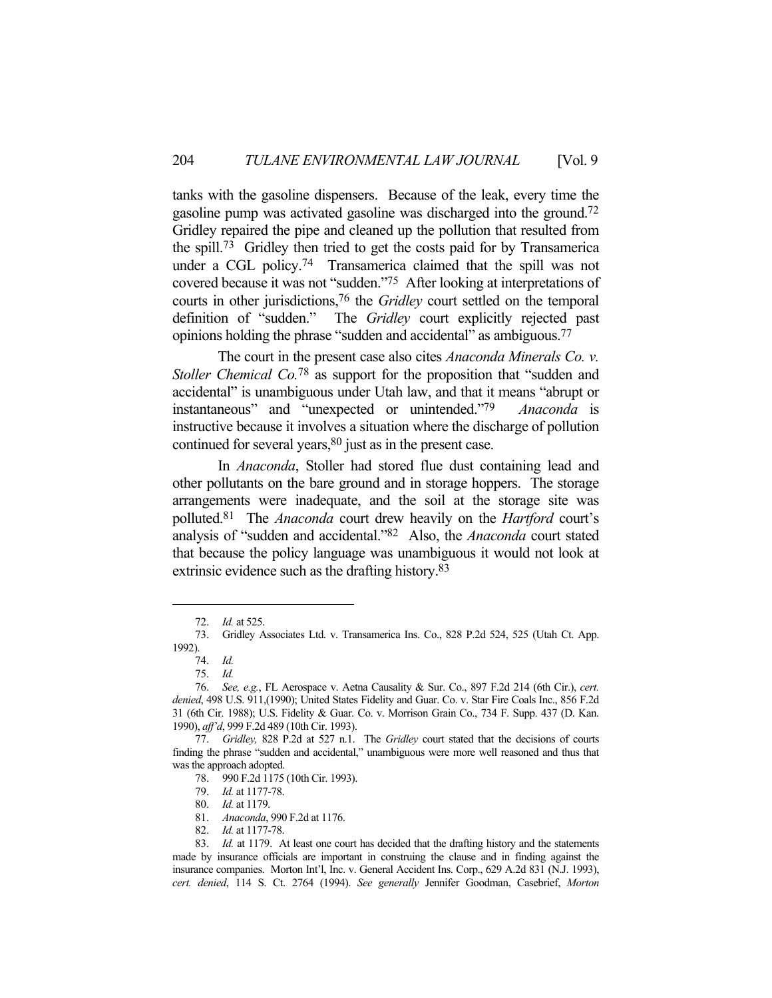tanks with the gasoline dispensers. Because of the leak, every time the gasoline pump was activated gasoline was discharged into the ground.72 Gridley repaired the pipe and cleaned up the pollution that resulted from the spill.73 Gridley then tried to get the costs paid for by Transamerica under a CGL policy.74 Transamerica claimed that the spill was not covered because it was not "sudden."75 After looking at interpretations of courts in other jurisdictions,76 the *Gridley* court settled on the temporal definition of "sudden." The *Gridley* court explicitly rejected past opinions holding the phrase "sudden and accidental" as ambiguous.77

 The court in the present case also cites *Anaconda Minerals Co. v. Stoller Chemical Co.*78 as support for the proposition that "sudden and accidental" is unambiguous under Utah law, and that it means "abrupt or instantaneous" and "unexpected or unintended."79 *Anaconda* is instructive because it involves a situation where the discharge of pollution continued for several years,<sup>80</sup> just as in the present case.

 In *Anaconda*, Stoller had stored flue dust containing lead and other pollutants on the bare ground and in storage hoppers. The storage arrangements were inadequate, and the soil at the storage site was polluted.81 The *Anaconda* court drew heavily on the *Hartford* court's analysis of "sudden and accidental."82 Also, the *Anaconda* court stated that because the policy language was unambiguous it would not look at extrinsic evidence such as the drafting history.83

 <sup>72.</sup> *Id.* at 525.

 <sup>73.</sup> Gridley Associates Ltd. v. Transamerica Ins. Co., 828 P.2d 524, 525 (Utah Ct. App. 1992).

 <sup>74.</sup> *Id.*

 <sup>75.</sup> *Id.*

 <sup>76.</sup> *See, e.g.*, FL Aerospace v. Aetna Causality & Sur. Co., 897 F.2d 214 (6th Cir.), *cert. denied*, 498 U.S. 911,(1990); United States Fidelity and Guar. Co. v. Star Fire Coals Inc., 856 F.2d 31 (6th Cir. 1988); U.S. Fidelity & Guar. Co. v. Morrison Grain Co., 734 F. Supp. 437 (D. Kan. 1990), *aff'd*, 999 F.2d 489 (10th Cir. 1993).

 <sup>77.</sup> *Gridley,* 828 P.2d at 527 n.1. The *Gridley* court stated that the decisions of courts finding the phrase "sudden and accidental," unambiguous were more well reasoned and thus that was the approach adopted.

 <sup>78. 990</sup> F.2d 1175 (10th Cir. 1993).

 <sup>79.</sup> *Id.* at 1177-78.

 <sup>80.</sup> *Id.* at 1179.

 <sup>81.</sup> *Anaconda*, 990 F.2d at 1176.

 <sup>82.</sup> *Id.* at 1177-78.

 <sup>83.</sup> *Id.* at 1179. At least one court has decided that the drafting history and the statements made by insurance officials are important in construing the clause and in finding against the insurance companies. Morton Int'l, Inc. v. General Accident Ins. Corp., 629 A.2d 831 (N.J. 1993), *cert. denied*, 114 S. Ct. 2764 (1994). *See generally* Jennifer Goodman, Casebrief, *Morton*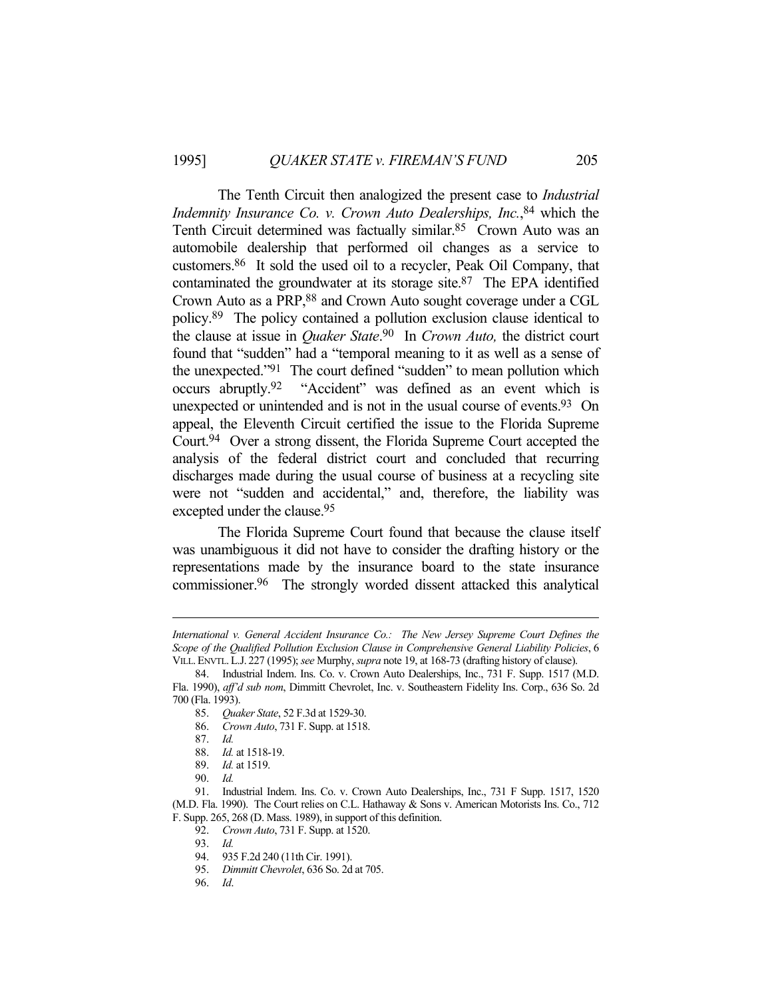The Tenth Circuit then analogized the present case to *Industrial Indemnity Insurance Co. v. Crown Auto Dealerships, Inc.*, 84 which the Tenth Circuit determined was factually similar.85 Crown Auto was an automobile dealership that performed oil changes as a service to customers.86 It sold the used oil to a recycler, Peak Oil Company, that contaminated the groundwater at its storage site.87 The EPA identified Crown Auto as a PRP,88 and Crown Auto sought coverage under a CGL policy.89 The policy contained a pollution exclusion clause identical to the clause at issue in *Quaker State*. 90 In *Crown Auto,* the district court found that "sudden" had a "temporal meaning to it as well as a sense of the unexpected."91 The court defined "sudden" to mean pollution which occurs abruptly.92 "Accident" was defined as an event which is unexpected or unintended and is not in the usual course of events.<sup>93</sup> On appeal, the Eleventh Circuit certified the issue to the Florida Supreme Court.94 Over a strong dissent, the Florida Supreme Court accepted the analysis of the federal district court and concluded that recurring discharges made during the usual course of business at a recycling site were not "sudden and accidental," and, therefore, the liability was excepted under the clause.95

 The Florida Supreme Court found that because the clause itself was unambiguous it did not have to consider the drafting history or the representations made by the insurance board to the state insurance commissioner.96 The strongly worded dissent attacked this analytical

*International v. General Accident Insurance Co.: The New Jersey Supreme Court Defines the Scope of the Qualified Pollution Exclusion Clause in Comprehensive General Liability Policies*, 6 VILL.ENVTL.L.J. 227 (1995); *see* Murphy, *supra* note 19, at 168-73 (drafting history of clause).

 <sup>84.</sup> Industrial Indem. Ins. Co. v. Crown Auto Dealerships, Inc., 731 F. Supp. 1517 (M.D. Fla. 1990), *aff'd sub nom*, Dimmitt Chevrolet, Inc. v. Southeastern Fidelity Ins. Corp., 636 So. 2d 700 (Fla. 1993).

 <sup>85.</sup> *Quaker State*, 52 F.3d at 1529-30.

 <sup>86.</sup> *Crown Auto*, 731 F. Supp. at 1518.

 <sup>87.</sup> *Id.*

 <sup>88.</sup> *Id.* at 1518-19.

 <sup>89.</sup> *Id.* at 1519.

 <sup>90.</sup> *Id.*

 <sup>91.</sup> Industrial Indem. Ins. Co. v. Crown Auto Dealerships, Inc., 731 F Supp. 1517, 1520 (M.D. Fla. 1990). The Court relies on C.L. Hathaway & Sons v. American Motorists Ins. Co., 712 F. Supp. 265, 268 (D. Mass. 1989), in support of this definition.

 <sup>92.</sup> *Crown Auto*, 731 F. Supp. at 1520.

 <sup>93.</sup> *Id.*

 <sup>94. 935</sup> F.2d 240 (11th Cir. 1991).

 <sup>95.</sup> *Dimmitt Chevrolet*, 636 So. 2d at 705.

 <sup>96.</sup> *Id*.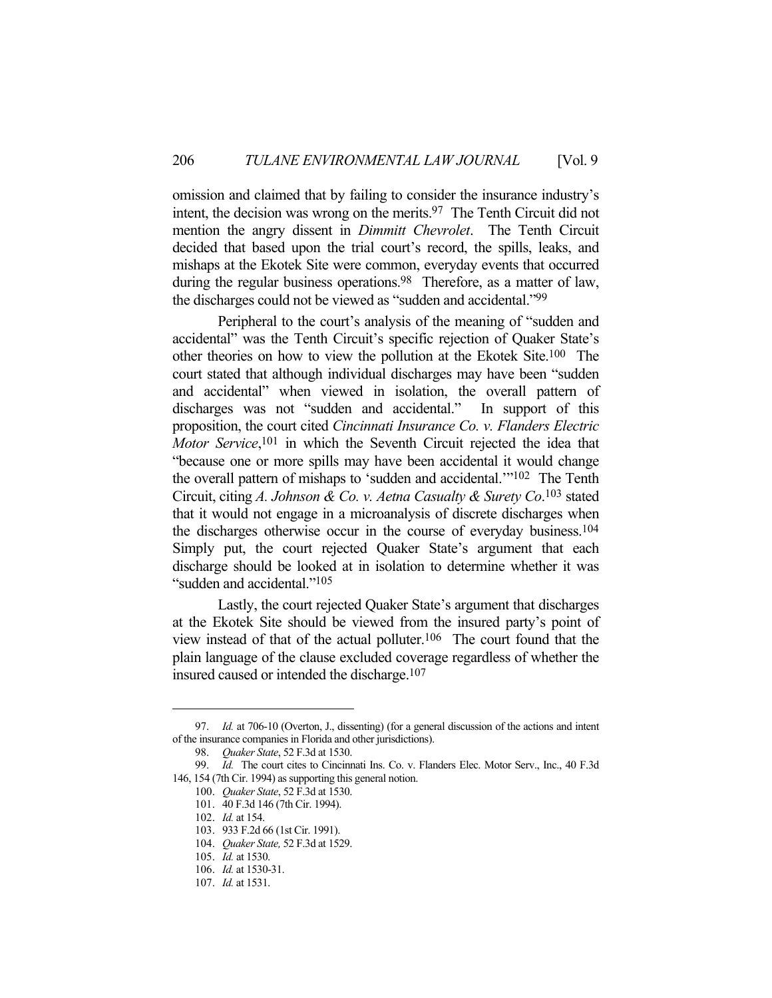omission and claimed that by failing to consider the insurance industry's intent, the decision was wrong on the merits.97 The Tenth Circuit did not mention the angry dissent in *Dimmitt Chevrolet*. The Tenth Circuit decided that based upon the trial court's record, the spills, leaks, and mishaps at the Ekotek Site were common, everyday events that occurred during the regular business operations.<sup>98</sup> Therefore, as a matter of law, the discharges could not be viewed as "sudden and accidental."99

 Peripheral to the court's analysis of the meaning of "sudden and accidental" was the Tenth Circuit's specific rejection of Quaker State's other theories on how to view the pollution at the Ekotek Site.100 The court stated that although individual discharges may have been "sudden and accidental" when viewed in isolation, the overall pattern of discharges was not "sudden and accidental." In support of this proposition, the court cited *Cincinnati Insurance Co. v. Flanders Electric Motor Service*, 101 in which the Seventh Circuit rejected the idea that "because one or more spills may have been accidental it would change the overall pattern of mishaps to 'sudden and accidental.'"102 The Tenth Circuit, citing *A. Johnson & Co. v. Aetna Casualty & Surety Co*. 103 stated that it would not engage in a microanalysis of discrete discharges when the discharges otherwise occur in the course of everyday business.104 Simply put, the court rejected Quaker State's argument that each discharge should be looked at in isolation to determine whether it was "sudden and accidental."105

 Lastly, the court rejected Quaker State's argument that discharges at the Ekotek Site should be viewed from the insured party's point of view instead of that of the actual polluter.106 The court found that the plain language of the clause excluded coverage regardless of whether the insured caused or intended the discharge.107

 <sup>97.</sup> *Id.* at 706-10 (Overton, J., dissenting) (for a general discussion of the actions and intent of the insurance companies in Florida and other jurisdictions).

 <sup>98.</sup> *Quaker State*, 52 F.3d at 1530.

 <sup>99.</sup> *Id.* The court cites to Cincinnati Ins. Co. v. Flanders Elec. Motor Serv., Inc., 40 F.3d 146, 154 (7th Cir. 1994) as supporting this general notion.

 <sup>100.</sup> *Quaker State*, 52 F.3d at 1530.

 <sup>101. 40</sup> F.3d 146 (7th Cir. 1994).

 <sup>102.</sup> *Id.* at 154.

 <sup>103. 933</sup> F.2d 66 (1st Cir. 1991).

 <sup>104.</sup> *Quaker State,* 52 F.3d at 1529.

 <sup>105.</sup> *Id.* at 1530.

 <sup>106.</sup> *Id.* at 1530-31.

 <sup>107.</sup> *Id.* at 1531.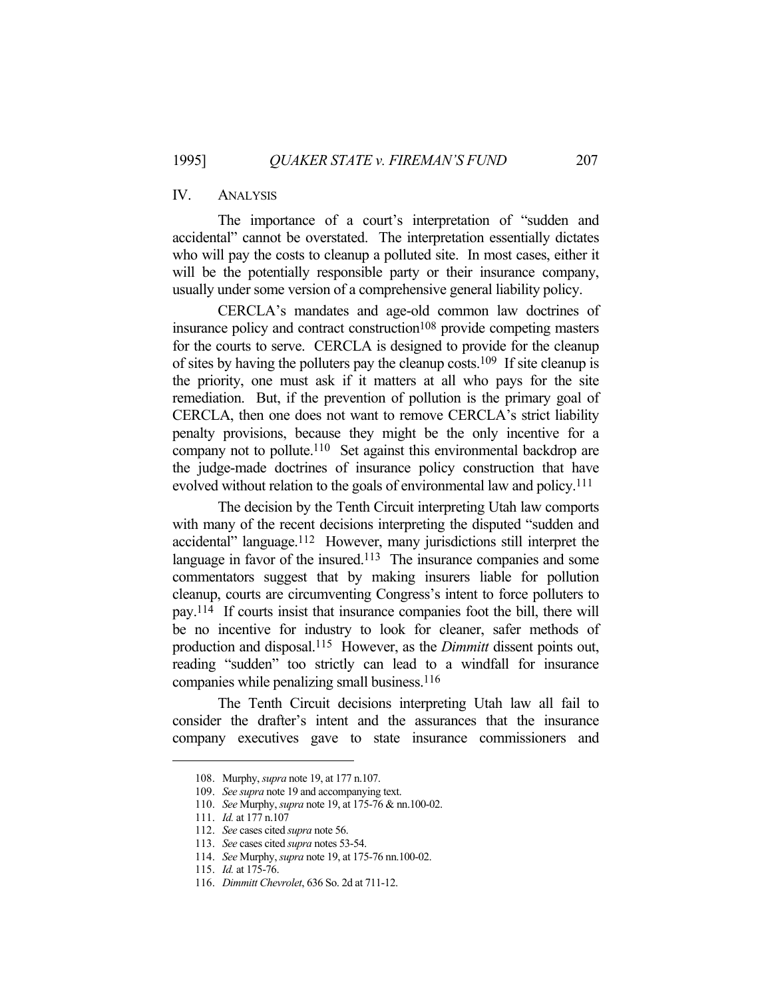## IV. ANALYSIS

 The importance of a court's interpretation of "sudden and accidental" cannot be overstated. The interpretation essentially dictates who will pay the costs to cleanup a polluted site. In most cases, either it will be the potentially responsible party or their insurance company, usually under some version of a comprehensive general liability policy.

 CERCLA's mandates and age-old common law doctrines of insurance policy and contract construction<sup>108</sup> provide competing masters for the courts to serve. CERCLA is designed to provide for the cleanup of sites by having the polluters pay the cleanup costs.109 If site cleanup is the priority, one must ask if it matters at all who pays for the site remediation. But, if the prevention of pollution is the primary goal of CERCLA, then one does not want to remove CERCLA's strict liability penalty provisions, because they might be the only incentive for a company not to pollute.<sup>110</sup> Set against this environmental backdrop are the judge-made doctrines of insurance policy construction that have evolved without relation to the goals of environmental law and policy.111

 The decision by the Tenth Circuit interpreting Utah law comports with many of the recent decisions interpreting the disputed "sudden and accidental" language.112 However, many jurisdictions still interpret the language in favor of the insured.<sup>113</sup> The insurance companies and some commentators suggest that by making insurers liable for pollution cleanup, courts are circumventing Congress's intent to force polluters to pay.114 If courts insist that insurance companies foot the bill, there will be no incentive for industry to look for cleaner, safer methods of production and disposal.115 However, as the *Dimmitt* dissent points out, reading "sudden" too strictly can lead to a windfall for insurance companies while penalizing small business.116

 The Tenth Circuit decisions interpreting Utah law all fail to consider the drafter's intent and the assurances that the insurance company executives gave to state insurance commissioners and

 <sup>108.</sup> Murphy, *supra* note 19, at 177 n.107.

 <sup>109.</sup> *See supra* note 19 and accompanying text.

 <sup>110.</sup> *See* Murphy, *supra* note 19, at 175-76 & nn.100-02.

 <sup>111.</sup> *Id.* at 177 n.107

 <sup>112.</sup> *See* cases cited *supra* note 56.

 <sup>113.</sup> *See* cases cited *supra* notes 53-54.

 <sup>114.</sup> *See* Murphy, *supra* note 19, at 175-76 nn.100-02.

 <sup>115.</sup> *Id.* at 175-76.

 <sup>116.</sup> *Dimmitt Chevrolet*, 636 So. 2d at 711-12.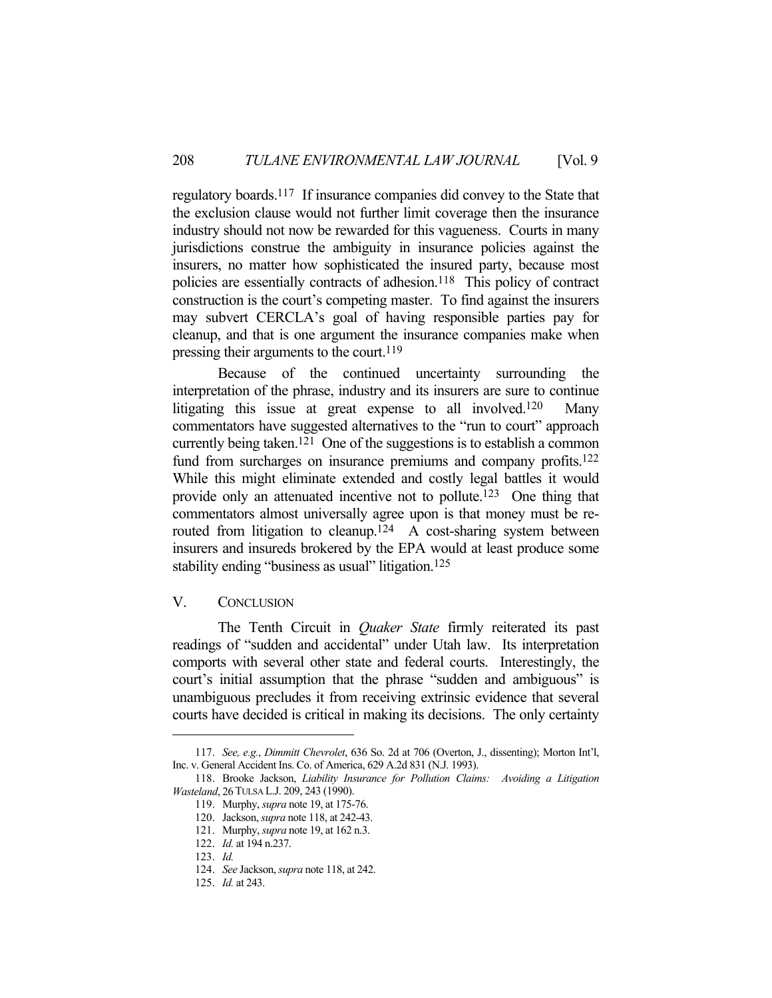regulatory boards.117 If insurance companies did convey to the State that the exclusion clause would not further limit coverage then the insurance industry should not now be rewarded for this vagueness. Courts in many jurisdictions construe the ambiguity in insurance policies against the insurers, no matter how sophisticated the insured party, because most policies are essentially contracts of adhesion.<sup>118</sup> This policy of contract construction is the court's competing master. To find against the insurers may subvert CERCLA's goal of having responsible parties pay for cleanup, and that is one argument the insurance companies make when pressing their arguments to the court.<sup>119</sup>

 Because of the continued uncertainty surrounding the interpretation of the phrase, industry and its insurers are sure to continue litigating this issue at great expense to all involved.<sup>120</sup> Many commentators have suggested alternatives to the "run to court" approach currently being taken.<sup>121</sup> One of the suggestions is to establish a common fund from surcharges on insurance premiums and company profits.<sup>122</sup> While this might eliminate extended and costly legal battles it would provide only an attenuated incentive not to pollute.123 One thing that commentators almost universally agree upon is that money must be rerouted from litigation to cleanup.<sup>124</sup> A cost-sharing system between insurers and insureds brokered by the EPA would at least produce some stability ending "business as usual" litigation.<sup>125</sup>

### V. CONCLUSION

 The Tenth Circuit in *Quaker State* firmly reiterated its past readings of "sudden and accidental" under Utah law. Its interpretation comports with several other state and federal courts. Interestingly, the court's initial assumption that the phrase "sudden and ambiguous" is unambiguous precludes it from receiving extrinsic evidence that several courts have decided is critical in making its decisions. The only certainty

 <sup>117.</sup> *See, e.g.*, *Dimmitt Chevrolet*, 636 So. 2d at 706 (Overton, J., dissenting); Morton Int'l, Inc. v. General Accident Ins. Co. of America, 629 A.2d 831 (N.J. 1993).

 <sup>118.</sup> Brooke Jackson, *Liability Insurance for Pollution Claims: Avoiding a Litigation Wasteland*, 26TULSA L.J. 209, 243 (1990).

 <sup>119.</sup> Murphy, *supra* note 19, at 175-76.

 <sup>120.</sup> Jackson, *supra* note 118, at 242-43.

 <sup>121.</sup> Murphy, *supra* note 19, at 162 n.3.

 <sup>122.</sup> *Id.* at 194 n.237.

 <sup>123.</sup> *Id.*

 <sup>124.</sup> *See* Jackson, *supra* note 118, at 242.

 <sup>125.</sup> *Id.* at 243.